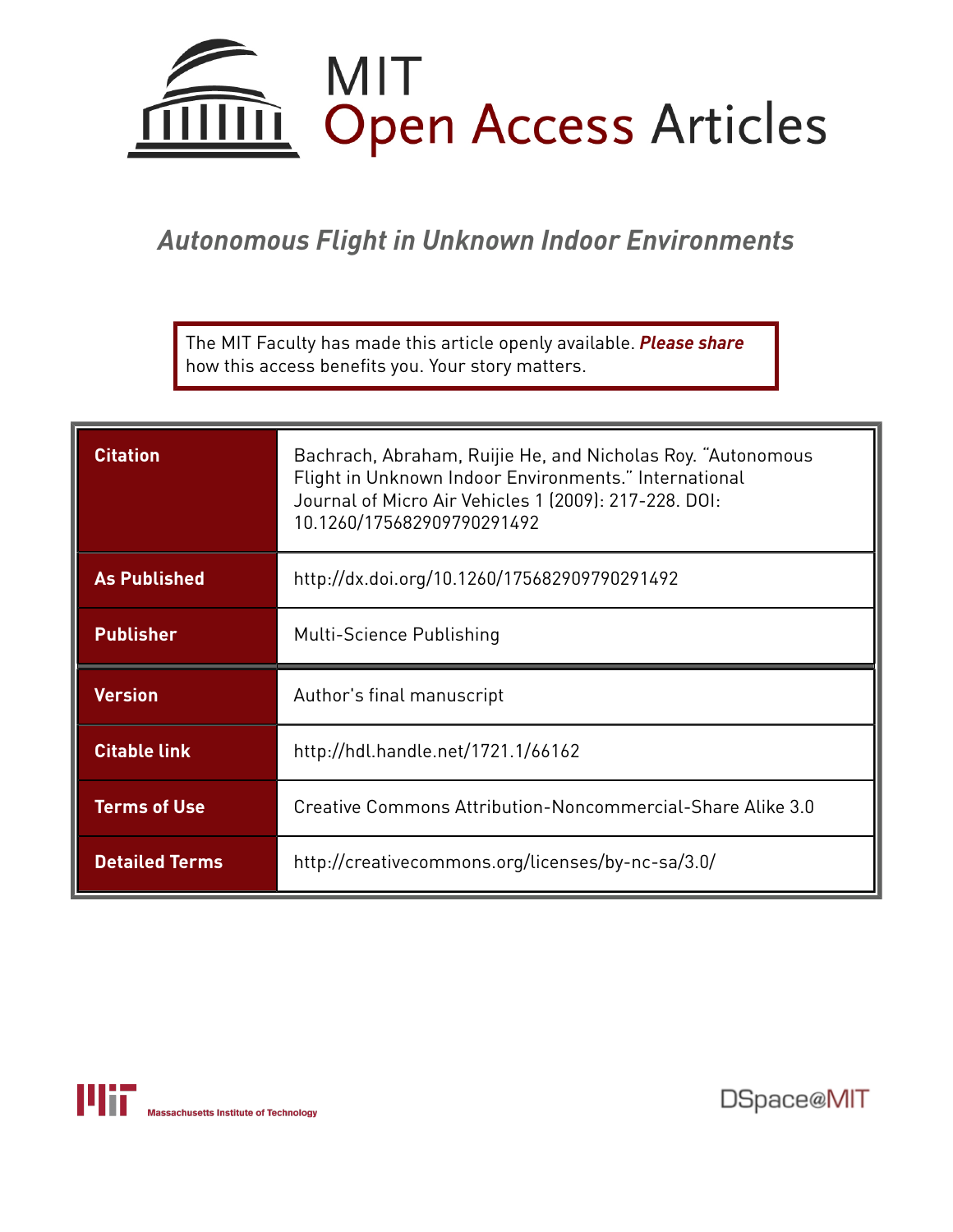

# *Autonomous Flight in Unknown Indoor Environments*

The MIT Faculty has made this article openly available. *[Please](https://libraries.mit.edu/forms/dspace-oa-articles.html) share* how this access benefits you. Your story matters.

| <b>Citation</b>       | Bachrach, Abraham, Ruijie He, and Nicholas Roy. "Autonomous<br>Flight in Unknown Indoor Environments." International<br>Journal of Micro Air Vehicles 1 (2009): 217-228. DOI:<br>10.1260/175682909790291492 |
|-----------------------|-------------------------------------------------------------------------------------------------------------------------------------------------------------------------------------------------------------|
| <b>As Published</b>   | http://dx.doi.org/10.1260/175682909790291492                                                                                                                                                                |
| <b>Publisher</b>      | Multi-Science Publishing                                                                                                                                                                                    |
| <b>Version</b>        | Author's final manuscript                                                                                                                                                                                   |
| <b>Citable link</b>   | http://hdl.handle.net/1721.1/66162                                                                                                                                                                          |
| <b>Terms of Use</b>   | Creative Commons Attribution-Noncommercial-Share Alike 3.0                                                                                                                                                  |
| <b>Detailed Terms</b> | http://creativecommons.org/licenses/by-nc-sa/3.0/                                                                                                                                                           |



DSpace@MIT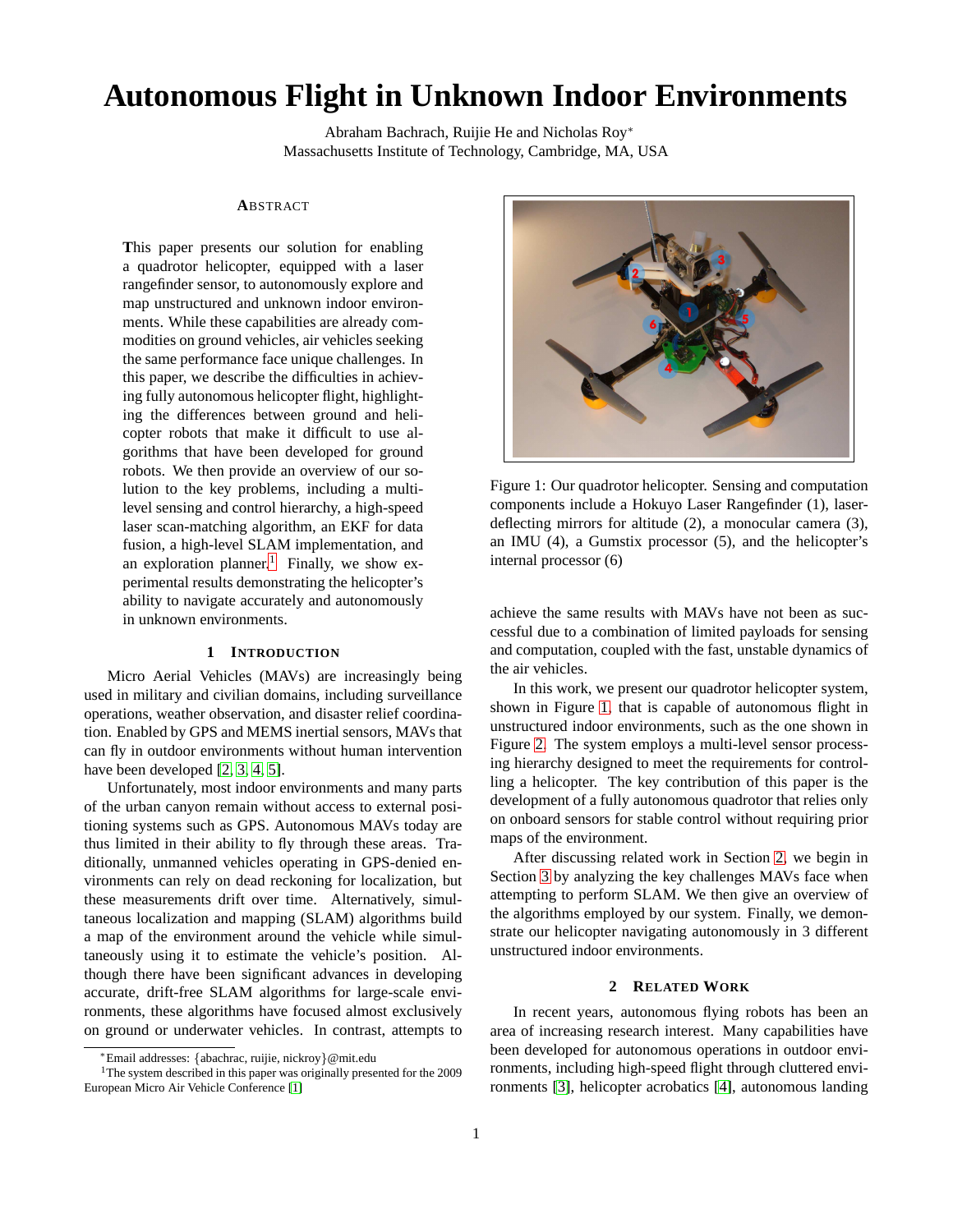## **Autonomous Flight in Unknown Indoor Environments**

Abraham Bachrach, Ruijie He and Nicholas Roy<sup>∗</sup> Massachusetts Institute of Technology, Cambridge, MA, USA

#### **A**BSTRACT

**T**his paper presents our solution for enabling a quadrotor helicopter, equipped with a laser rangefinder sensor, to autonomously explore and map unstructured and unknown indoor environments. While these capabilities are already commodities on ground vehicles, air vehicles seeking the same performance face unique challenges. In this paper, we describe the difficulties in achieving fully autonomous helicopter flight, highlighting the differences between ground and helicopter robots that make it difficult to use algorithms that have been developed for ground robots. We then provide an overview of our solution to the key problems, including a multilevel sensing and control hierarchy, a high-speed laser scan-matching algorithm, an EKF for data fusion, a high-level SLAM implementation, and an exploration planner.<sup>[1](#page-1-0)</sup> Finally, we show experimental results demonstrating the helicopter's ability to navigate accurately and autonomously in unknown environments.

#### **1 INTRODUCTION**

Micro Aerial Vehicles (MAVs) are increasingly being used in military and civilian domains, including surveillance operations, weather observation, and disaster relief coordination. Enabled by GPS and MEMS inertial sensors, MAVs that can fly in outdoor environments without human intervention have been developed [\[2,](#page-9-0) [3,](#page-9-1) [4,](#page-9-2) [5\]](#page-9-3).

Unfortunately, most indoor environments and many parts of the urban canyon remain without access to external positioning systems such as GPS. Autonomous MAVs today are thus limited in their ability to fly through these areas. Traditionally, unmanned vehicles operating in GPS-denied environments can rely on dead reckoning for localization, but these measurements drift over time. Alternatively, simultaneous localization and mapping (SLAM) algorithms build a map of the environment around the vehicle while simultaneously using it to estimate the vehicle's position. Although there have been significant advances in developing accurate, drift-free SLAM algorithms for large-scale environments, these algorithms have focused almost exclusively on ground or underwater vehicles. In contrast, attempts to



Figure 1: Our quadrotor helicopter. Sensing and computation components include a Hokuyo Laser Rangefinder (1), laserdeflecting mirrors for altitude (2), a monocular camera (3), an IMU (4), a Gumstix processor (5), and the helicopter's internal processor (6)

<span id="page-1-1"></span>achieve the same results with MAVs have not been as successful due to a combination of limited payloads for sensing and computation, coupled with the fast, unstable dynamics of the air vehicles.

In this work, we present our quadrotor helicopter system, shown in Figure [1,](#page-1-1) that is capable of autonomous flight in unstructured indoor environments, such as the one shown in Figure [2.](#page-2-0) The system employs a multi-level sensor processing hierarchy designed to meet the requirements for controlling a helicopter. The key contribution of this paper is the development of a fully autonomous quadrotor that relies only on onboard sensors for stable control without requiring prior maps of the environment.

After discussing related work in Section [2,](#page-1-2) we begin in Section [3](#page-2-1) by analyzing the key challenges MAVs face when attempting to perform SLAM. We then give an overview of the algorithms employed by our system. Finally, we demonstrate our helicopter navigating autonomously in 3 different unstructured indoor environments.

## **2 RELATED WORK**

<span id="page-1-2"></span>In recent years, autonomous flying robots has been an area of increasing research interest. Many capabilities have been developed for autonomous operations in outdoor environments, including high-speed flight through cluttered environments [\[3\]](#page-9-1), helicopter acrobatics [\[4\]](#page-9-2), autonomous landing

<sup>∗</sup>Email addresses: {abachrac, ruijie, nickroy}@mit.edu

<span id="page-1-0"></span><sup>&</sup>lt;sup>1</sup>The system described in this paper was originally presented for the 2009 European Micro Air Vehicle Conference [\[1\]](#page-9-4)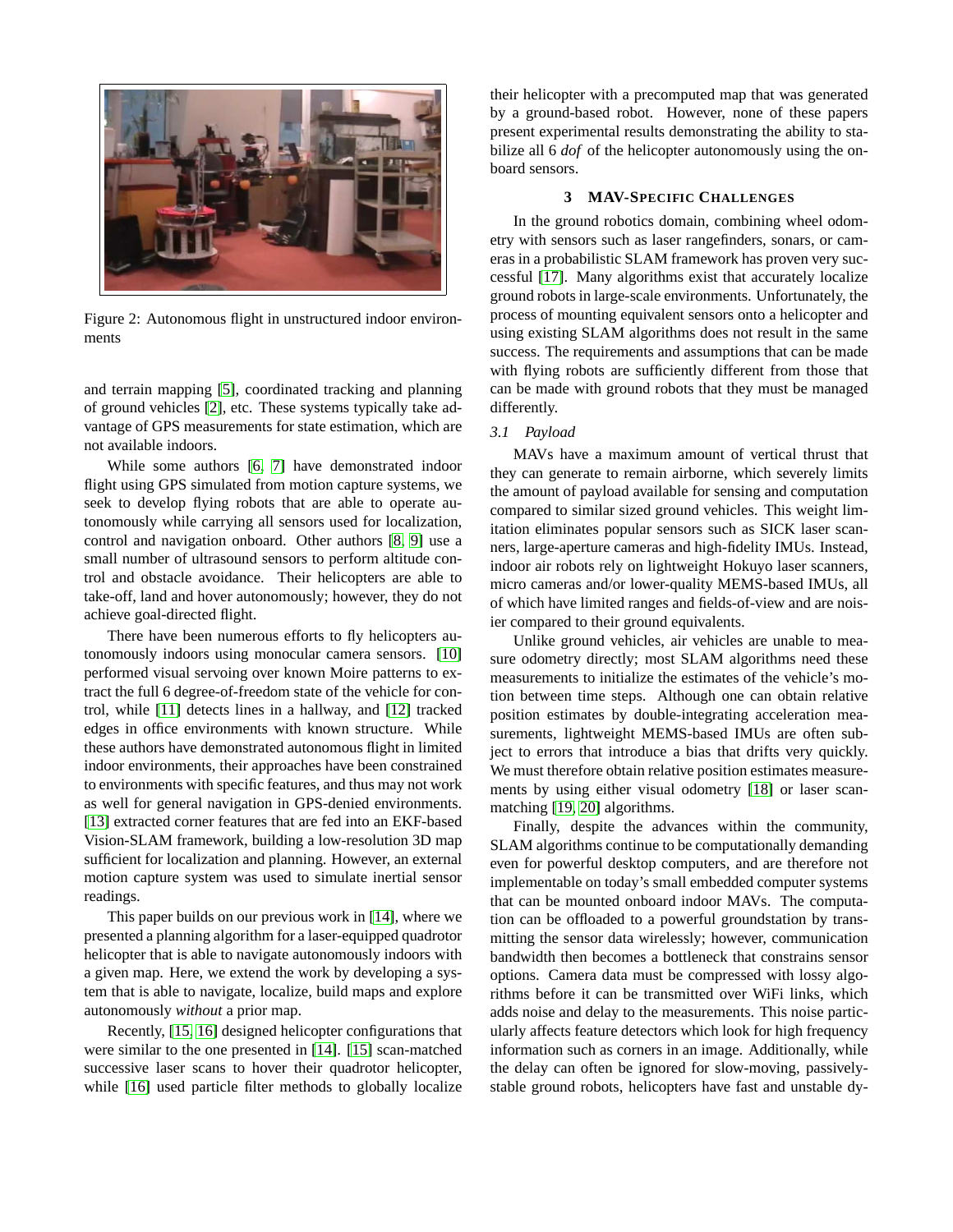

Figure 2: Autonomous flight in unstructured indoor environments

<span id="page-2-0"></span>and terrain mapping [\[5\]](#page-9-3), coordinated tracking and planning of ground vehicles [\[2\]](#page-9-0), etc. These systems typically take advantage of GPS measurements for state estimation, which are not available indoors.

While some authors [\[6,](#page-9-5) [7\]](#page-9-6) have demonstrated indoor flight using GPS simulated from motion capture systems, we seek to develop flying robots that are able to operate autonomously while carrying all sensors used for localization, control and navigation onboard. Other authors [\[8,](#page-9-7) [9\]](#page-9-8) use a small number of ultrasound sensors to perform altitude control and obstacle avoidance. Their helicopters are able to take-off, land and hover autonomously; however, they do not achieve goal-directed flight.

There have been numerous efforts to fly helicopters autonomously indoors using monocular camera sensors. [\[10\]](#page-9-9) performed visual servoing over known Moire patterns to extract the full 6 degree-of-freedom state of the vehicle for control, while [\[11\]](#page-9-10) detects lines in a hallway, and [\[12\]](#page-9-11) tracked edges in office environments with known structure. While these authors have demonstrated autonomous flight in limited indoor environments, their approaches have been constrained to environments with specific features, and thus may not work as well for general navigation in GPS-denied environments. [\[13\]](#page-9-12) extracted corner features that are fed into an EKF-based Vision-SLAM framework, building a low-resolution 3D map sufficient for localization and planning. However, an external motion capture system was used to simulate inertial sensor readings.

This paper builds on our previous work in [\[14\]](#page-9-13), where we presented a planning algorithm for a laser-equipped quadrotor helicopter that is able to navigate autonomously indoors with a given map. Here, we extend the work by developing a system that is able to navigate, localize, build maps and explore autonomously *without* a prior map.

Recently, [\[15,](#page-9-14) [16\]](#page-9-15) designed helicopter configurations that were similar to the one presented in [\[14\]](#page-9-13). [\[15\]](#page-9-14) scan-matched successive laser scans to hover their quadrotor helicopter, while [\[16\]](#page-9-15) used particle filter methods to globally localize their helicopter with a precomputed map that was generated by a ground-based robot. However, none of these papers present experimental results demonstrating the ability to stabilize all 6 *dof* of the helicopter autonomously using the onboard sensors.

## **3 MAV-SPECIFIC CHALLENGES**

<span id="page-2-1"></span>In the ground robotics domain, combining wheel odometry with sensors such as laser rangefinders, sonars, or cameras in a probabilistic SLAM framework has proven very successful [\[17\]](#page-9-16). Many algorithms exist that accurately localize ground robots in large-scale environments. Unfortunately, the process of mounting equivalent sensors onto a helicopter and using existing SLAM algorithms does not result in the same success. The requirements and assumptions that can be made with flying robots are sufficiently different from those that can be made with ground robots that they must be managed differently.

#### <span id="page-2-2"></span>*3.1 Payload*

MAVs have a maximum amount of vertical thrust that they can generate to remain airborne, which severely limits the amount of payload available for sensing and computation compared to similar sized ground vehicles. This weight limitation eliminates popular sensors such as SICK laser scanners, large-aperture cameras and high-fidelity IMUs. Instead, indoor air robots rely on lightweight Hokuyo laser scanners, micro cameras and/or lower-quality MEMS-based IMUs, all of which have limited ranges and fields-of-view and are noisier compared to their ground equivalents.

Unlike ground vehicles, air vehicles are unable to measure odometry directly; most SLAM algorithms need these measurements to initialize the estimates of the vehicle's motion between time steps. Although one can obtain relative position estimates by double-integrating acceleration measurements, lightweight MEMS-based IMUs are often subject to errors that introduce a bias that drifts very quickly. We must therefore obtain relative position estimates measurements by using either visual odometry [\[18\]](#page-9-17) or laser scanmatching [\[19,](#page-9-18) [20\]](#page-9-19) algorithms.

Finally, despite the advances within the community, SLAM algorithms continue to be computationally demanding even for powerful desktop computers, and are therefore not implementable on today's small embedded computer systems that can be mounted onboard indoor MAVs. The computation can be offloaded to a powerful groundstation by transmitting the sensor data wirelessly; however, communication bandwidth then becomes a bottleneck that constrains sensor options. Camera data must be compressed with lossy algorithms before it can be transmitted over WiFi links, which adds noise and delay to the measurements. This noise particularly affects feature detectors which look for high frequency information such as corners in an image. Additionally, while the delay can often be ignored for slow-moving, passivelystable ground robots, helicopters have fast and unstable dy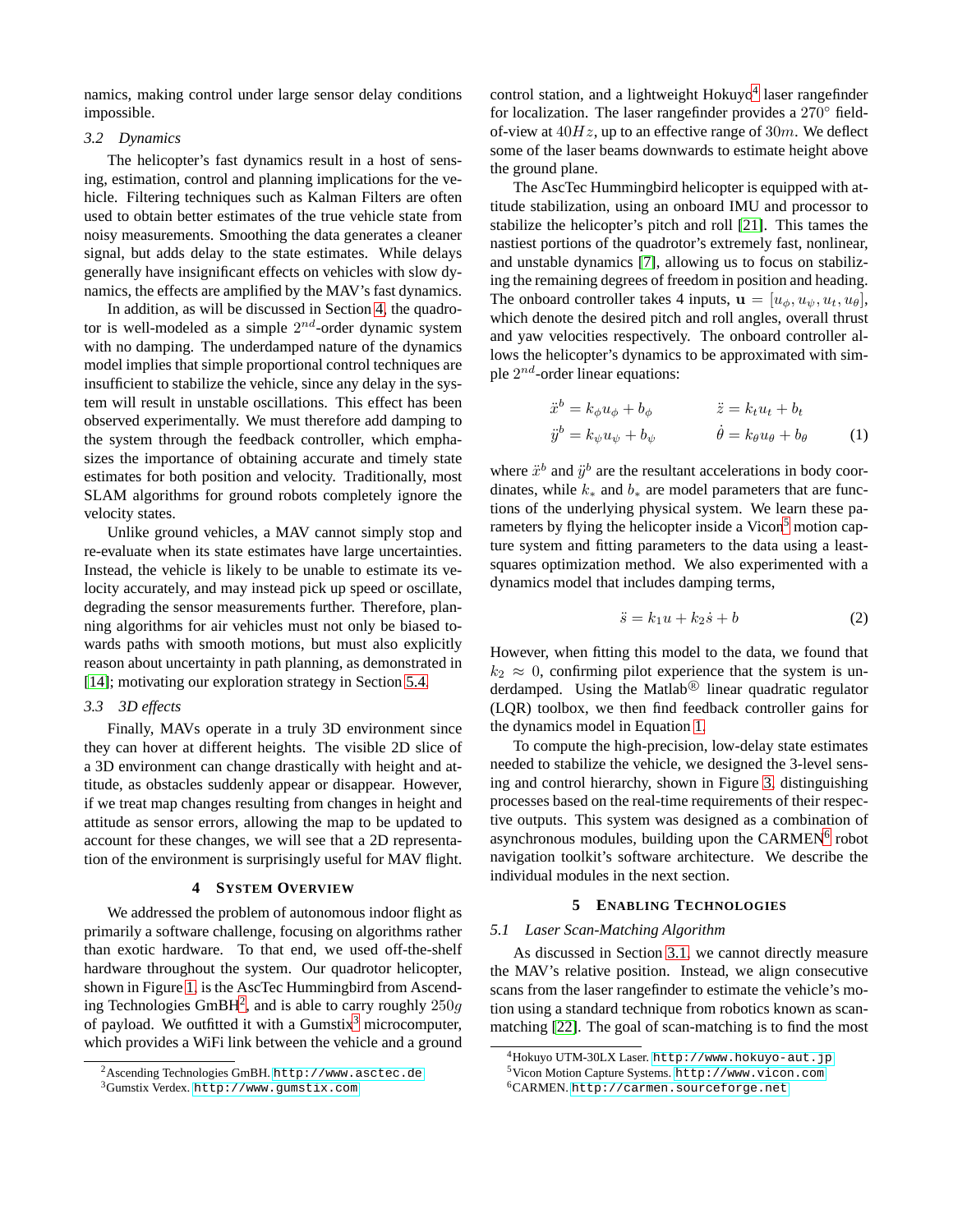namics, making control under large sensor delay conditions impossible.

#### *3.2 Dynamics*

The helicopter's fast dynamics result in a host of sensing, estimation, control and planning implications for the vehicle. Filtering techniques such as Kalman Filters are often used to obtain better estimates of the true vehicle state from noisy measurements. Smoothing the data generates a cleaner signal, but adds delay to the state estimates. While delays generally have insignificant effects on vehicles with slow dynamics, the effects are amplified by the MAV's fast dynamics.

In addition, as will be discussed in Section [4,](#page-3-0) the quadrotor is well-modeled as a simple  $2^{nd}$ -order dynamic system with no damping. The underdamped nature of the dynamics model implies that simple proportional control techniques are insufficient to stabilize the vehicle, since any delay in the system will result in unstable oscillations. This effect has been observed experimentally. We must therefore add damping to the system through the feedback controller, which emphasizes the importance of obtaining accurate and timely state estimates for both position and velocity. Traditionally, most SLAM algorithms for ground robots completely ignore the velocity states.

Unlike ground vehicles, a MAV cannot simply stop and re-evaluate when its state estimates have large uncertainties. Instead, the vehicle is likely to be unable to estimate its velocity accurately, and may instead pick up speed or oscillate, degrading the sensor measurements further. Therefore, planning algorithms for air vehicles must not only be biased towards paths with smooth motions, but must also explicitly reason about uncertainty in path planning, as demonstrated in [\[14\]](#page-9-13); motivating our exploration strategy in Section [5.4.](#page-6-0)

## <span id="page-3-7"></span>*3.3 3D effects*

Finally, MAVs operate in a truly 3D environment since they can hover at different heights. The visible 2D slice of a 3D environment can change drastically with height and attitude, as obstacles suddenly appear or disappear. However, if we treat map changes resulting from changes in height and attitude as sensor errors, allowing the map to be updated to account for these changes, we will see that a 2D representation of the environment is surprisingly useful for MAV flight.

## **4 SYSTEM OVERVIEW**

<span id="page-3-0"></span>We addressed the problem of autonomous indoor flight as primarily a software challenge, focusing on algorithms rather than exotic hardware. To that end, we used off-the-shelf hardware throughout the system. Our quadrotor helicopter, shown in Figure [1,](#page-1-1) is the AscTec Hummingbird from Ascend-ing Technologies GmBH<sup>[2](#page-3-1)</sup>, and is able to carry roughly  $250g$ of payload. We outfitted it with a Gumstix $3$  microcomputer, which provides a WiFi link between the vehicle and a ground

control station, and a lightweight Hokuyo<sup>[4](#page-3-3)</sup> laser rangefinder for localization. The laser rangefinder provides a 270° fieldof-view at  $40Hz$ , up to an effective range of  $30m$ . We deflect some of the laser beams downwards to estimate height above the ground plane.

The AscTec Hummingbird helicopter is equipped with attitude stabilization, using an onboard IMU and processor to stabilize the helicopter's pitch and roll [\[21\]](#page-9-20). This tames the nastiest portions of the quadrotor's extremely fast, nonlinear, and unstable dynamics [\[7\]](#page-9-6), allowing us to focus on stabilizing the remaining degrees of freedom in position and heading. The onboard controller takes 4 inputs,  $\mathbf{u} = [u_{\phi}, u_{\psi}, u_t, u_{\theta}],$ which denote the desired pitch and roll angles, overall thrust and yaw velocities respectively. The onboard controller allows the helicopter's dynamics to be approximated with simple  $2^{nd}$ -order linear equations:

<span id="page-3-5"></span>
$$
\ddot{x}^b = k_\phi u_\phi + b_\phi \qquad \ddot{z} = k_t u_t + b_t \n\ddot{y}^b = k_\psi u_\psi + b_\psi \qquad \dot{\theta} = k_\theta u_\theta + b_\theta \qquad (1)
$$

where  $\ddot{x}^b$  and  $\ddot{y}^b$  are the resultant accelerations in body coordinates, while  $k_*$  and  $b_*$  are model parameters that are functions of the underlying physical system. We learn these pa-rameters by flying the helicopter inside a Vicon<sup>[5](#page-3-4)</sup> motion capture system and fitting parameters to the data using a leastsquares optimization method. We also experimented with a dynamics model that includes damping terms,

$$
\ddot{s} = k_1 u + k_2 \dot{s} + b \tag{2}
$$

However, when fitting this model to the data, we found that  $k_2 \approx 0$ , confirming pilot experience that the system is underdamped. Using the Matlab<sup>®</sup> linear quadratic regulator (LQR) toolbox, we then find feedback controller gains for the dynamics model in Equation [1.](#page-3-5)

To compute the high-precision, low-delay state estimates needed to stabilize the vehicle, we designed the 3-level sensing and control hierarchy, shown in Figure [3,](#page-4-0) distinguishing processes based on the real-time requirements of their respective outputs. This system was designed as a combination of asynchronous modules, building upon the CARMEN<sup>[6](#page-3-6)</sup> robot navigation toolkit's software architecture. We describe the individual modules in the next section.

#### **5 ENABLING TECHNOLOGIES**

#### *5.1 Laser Scan-Matching Algorithm*

As discussed in Section [3.1,](#page-2-2) we cannot directly measure the MAV's relative position. Instead, we align consecutive scans from the laser rangefinder to estimate the vehicle's motion using a standard technique from robotics known as scanmatching [\[22\]](#page-9-21). The goal of scan-matching is to find the most

<sup>2</sup>Ascending Technologies GmBH. <http://www.asctec.de>

<span id="page-3-2"></span><span id="page-3-1"></span><sup>3</sup>Gumstix Verdex. <http://www.gumstix.com>

<sup>4</sup>Hokuyo UTM-30LX Laser. <http://www.hokuyo-aut.jp>

<span id="page-3-4"></span><span id="page-3-3"></span><sup>5</sup>Vicon Motion Capture Systems. <http://www.vicon.com>

<span id="page-3-6"></span><sup>6</sup>CARMEN. <http://carmen.sourceforge.net>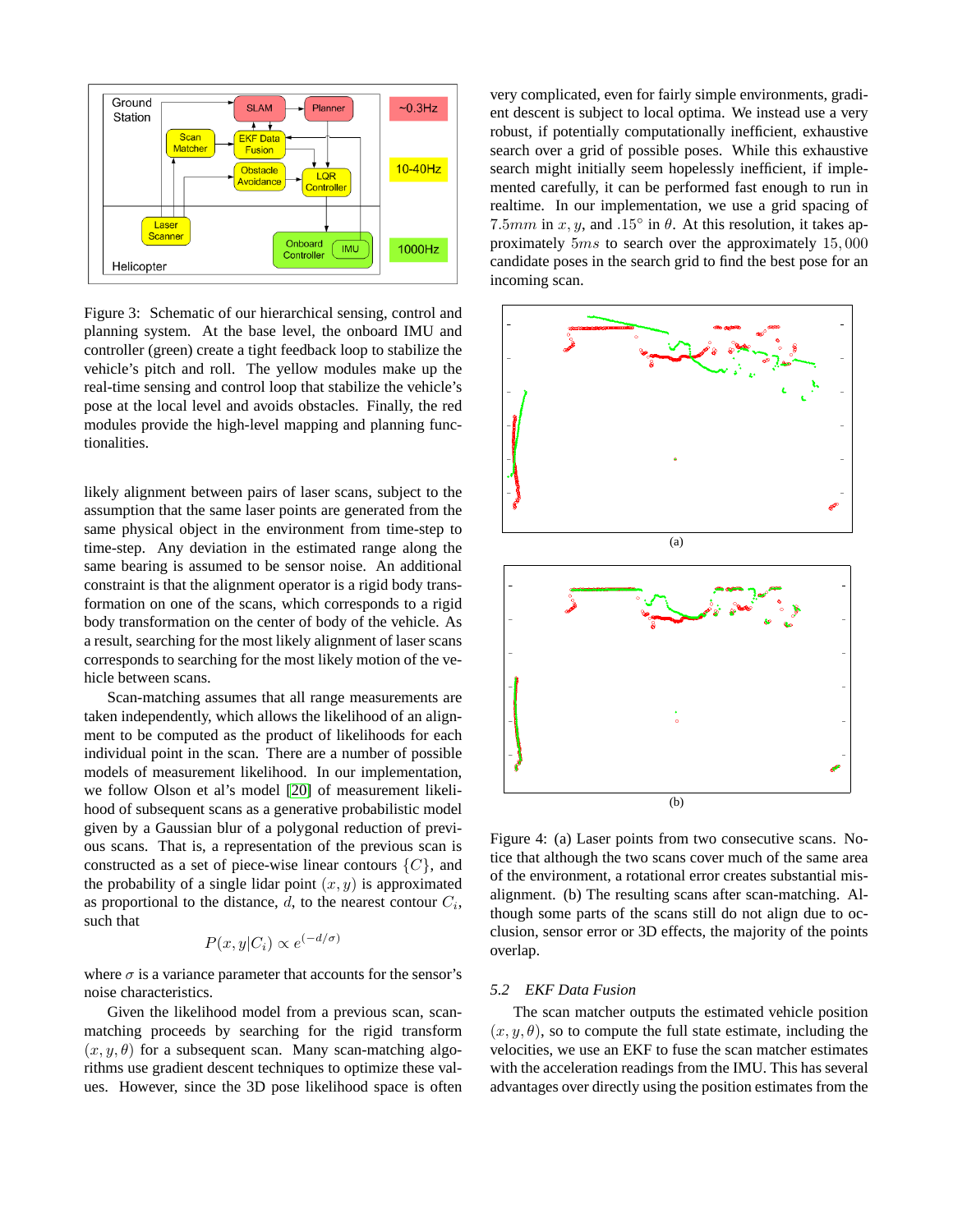

<span id="page-4-0"></span>Figure 3: Schematic of our hierarchical sensing, control and planning system. At the base level, the onboard IMU and controller (green) create a tight feedback loop to stabilize the vehicle's pitch and roll. The yellow modules make up the real-time sensing and control loop that stabilize the vehicle's pose at the local level and avoids obstacles. Finally, the red modules provide the high-level mapping and planning functionalities.

likely alignment between pairs of laser scans, subject to the assumption that the same laser points are generated from the same physical object in the environment from time-step to time-step. Any deviation in the estimated range along the same bearing is assumed to be sensor noise. An additional constraint is that the alignment operator is a rigid body transformation on one of the scans, which corresponds to a rigid body transformation on the center of body of the vehicle. As a result, searching for the most likely alignment of laser scans corresponds to searching for the most likely motion of the vehicle between scans.

Scan-matching assumes that all range measurements are taken independently, which allows the likelihood of an alignment to be computed as the product of likelihoods for each individual point in the scan. There are a number of possible models of measurement likelihood. In our implementation, we follow Olson et al's model [\[20\]](#page-9-19) of measurement likelihood of subsequent scans as a generative probabilistic model given by a Gaussian blur of a polygonal reduction of previous scans. That is, a representation of the previous scan is constructed as a set of piece-wise linear contours  $\{C\}$ , and the probability of a single lidar point  $(x, y)$  is approximated as proportional to the distance,  $d$ , to the nearest contour  $C_i$ , such that

$$
P(x, y|C_i) \propto e^{(-d/\sigma)}
$$

where  $\sigma$  is a variance parameter that accounts for the sensor's noise characteristics.

Given the likelihood model from a previous scan, scanmatching proceeds by searching for the rigid transform  $(x, y, \theta)$  for a subsequent scan. Many scan-matching algorithms use gradient descent techniques to optimize these values. However, since the 3D pose likelihood space is often very complicated, even for fairly simple environments, gradient descent is subject to local optima. We instead use a very robust, if potentially computationally inefficient, exhaustive search over a grid of possible poses. While this exhaustive search might initially seem hopelessly inefficient, if implemented carefully, it can be performed fast enough to run in realtime. In our implementation, we use a grid spacing of 7.5mm in x, y, and .15 $\degree$  in  $\theta$ . At this resolution, it takes approximately 5ms to search over the approximately 15, 000 candidate poses in the search grid to find the best pose for an incoming scan.



Figure 4: (a) Laser points from two consecutive scans. Notice that although the two scans cover much of the same area of the environment, a rotational error creates substantial misalignment. (b) The resulting scans after scan-matching. Although some parts of the scans still do not align due to occlusion, sensor error or 3D effects, the majority of the points overlap.

#### *5.2 EKF Data Fusion*

The scan matcher outputs the estimated vehicle position  $(x, y, \theta)$ , so to compute the full state estimate, including the velocities, we use an EKF to fuse the scan matcher estimates with the acceleration readings from the IMU. This has several advantages over directly using the position estimates from the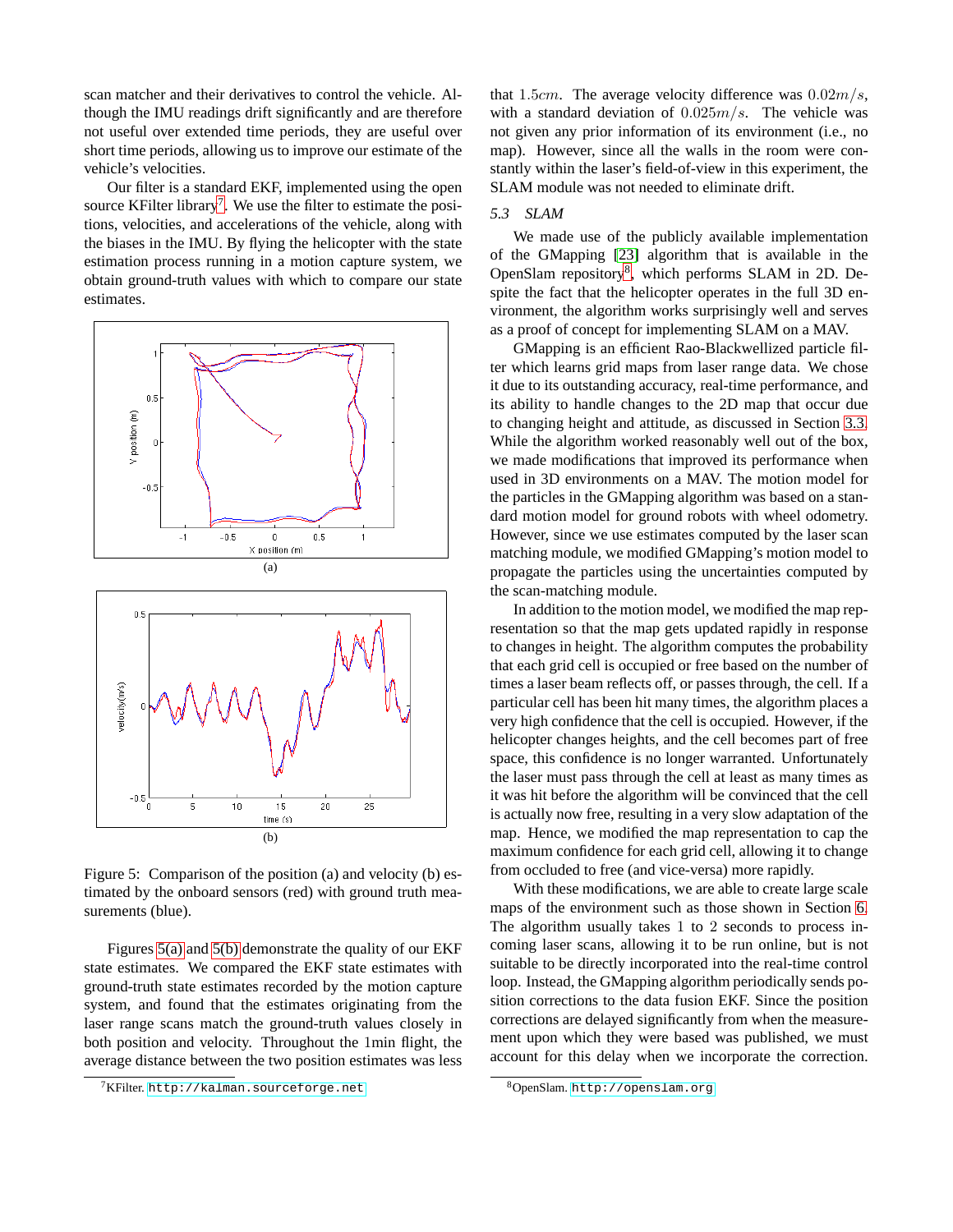scan matcher and their derivatives to control the vehicle. Although the IMU readings drift significantly and are therefore not useful over extended time periods, they are useful over short time periods, allowing us to improve our estimate of the vehicle's velocities.

Our filter is a standard EKF, implemented using the open source KFilter library<sup>[7](#page-5-0)</sup>. We use the filter to estimate the positions, velocities, and accelerations of the vehicle, along with the biases in the IMU. By flying the helicopter with the state estimation process running in a motion capture system, we obtain ground-truth values with which to compare our state estimates.

<span id="page-5-1"></span>

<span id="page-5-2"></span>Figure 5: Comparison of the position (a) and velocity (b) estimated by the onboard sensors (red) with ground truth measurements (blue).

Figures [5\(a\)](#page-5-1) and [5\(b\)](#page-5-2) demonstrate the quality of our EKF state estimates. We compared the EKF state estimates with ground-truth state estimates recorded by the motion capture system, and found that the estimates originating from the laser range scans match the ground-truth values closely in both position and velocity. Throughout the 1min flight, the average distance between the two position estimates was less that 1.5cm. The average velocity difference was  $0.02m/s$ , with a standard deviation of  $0.025m/s$ . The vehicle was not given any prior information of its environment (i.e., no map). However, since all the walls in the room were constantly within the laser's field-of-view in this experiment, the SLAM module was not needed to eliminate drift.

## *5.3 SLAM*

We made use of the publicly available implementation of the GMapping [\[23\]](#page-9-22) algorithm that is available in the OpenSlam repository<sup>[8](#page-5-3)</sup>, which performs SLAM in 2D. Despite the fact that the helicopter operates in the full 3D environment, the algorithm works surprisingly well and serves as a proof of concept for implementing SLAM on a MAV.

GMapping is an efficient Rao-Blackwellized particle filter which learns grid maps from laser range data. We chose it due to its outstanding accuracy, real-time performance, and its ability to handle changes to the 2D map that occur due to changing height and attitude, as discussed in Section [3.3.](#page-3-7) While the algorithm worked reasonably well out of the box, we made modifications that improved its performance when used in 3D environments on a MAV. The motion model for the particles in the GMapping algorithm was based on a standard motion model for ground robots with wheel odometry. However, since we use estimates computed by the laser scan matching module, we modified GMapping's motion model to propagate the particles using the uncertainties computed by the scan-matching module.

In addition to the motion model, we modified the map representation so that the map gets updated rapidly in response to changes in height. The algorithm computes the probability that each grid cell is occupied or free based on the number of times a laser beam reflects off, or passes through, the cell. If a particular cell has been hit many times, the algorithm places a very high confidence that the cell is occupied. However, if the helicopter changes heights, and the cell becomes part of free space, this confidence is no longer warranted. Unfortunately the laser must pass through the cell at least as many times as it was hit before the algorithm will be convinced that the cell is actually now free, resulting in a very slow adaptation of the map. Hence, we modified the map representation to cap the maximum confidence for each grid cell, allowing it to change from occluded to free (and vice-versa) more rapidly.

With these modifications, we are able to create large scale maps of the environment such as those shown in Section [6.](#page-7-0) The algorithm usually takes 1 to 2 seconds to process incoming laser scans, allowing it to be run online, but is not suitable to be directly incorporated into the real-time control loop. Instead, the GMapping algorithm periodically sends position corrections to the data fusion EKF. Since the position corrections are delayed significantly from when the measurement upon which they were based was published, we must account for this delay when we incorporate the correction.

<span id="page-5-0"></span> $7$ KFilter.<http://kalman.sourceforge.net>

<span id="page-5-3"></span><sup>8</sup>OpenSlam. <http://openslam.org>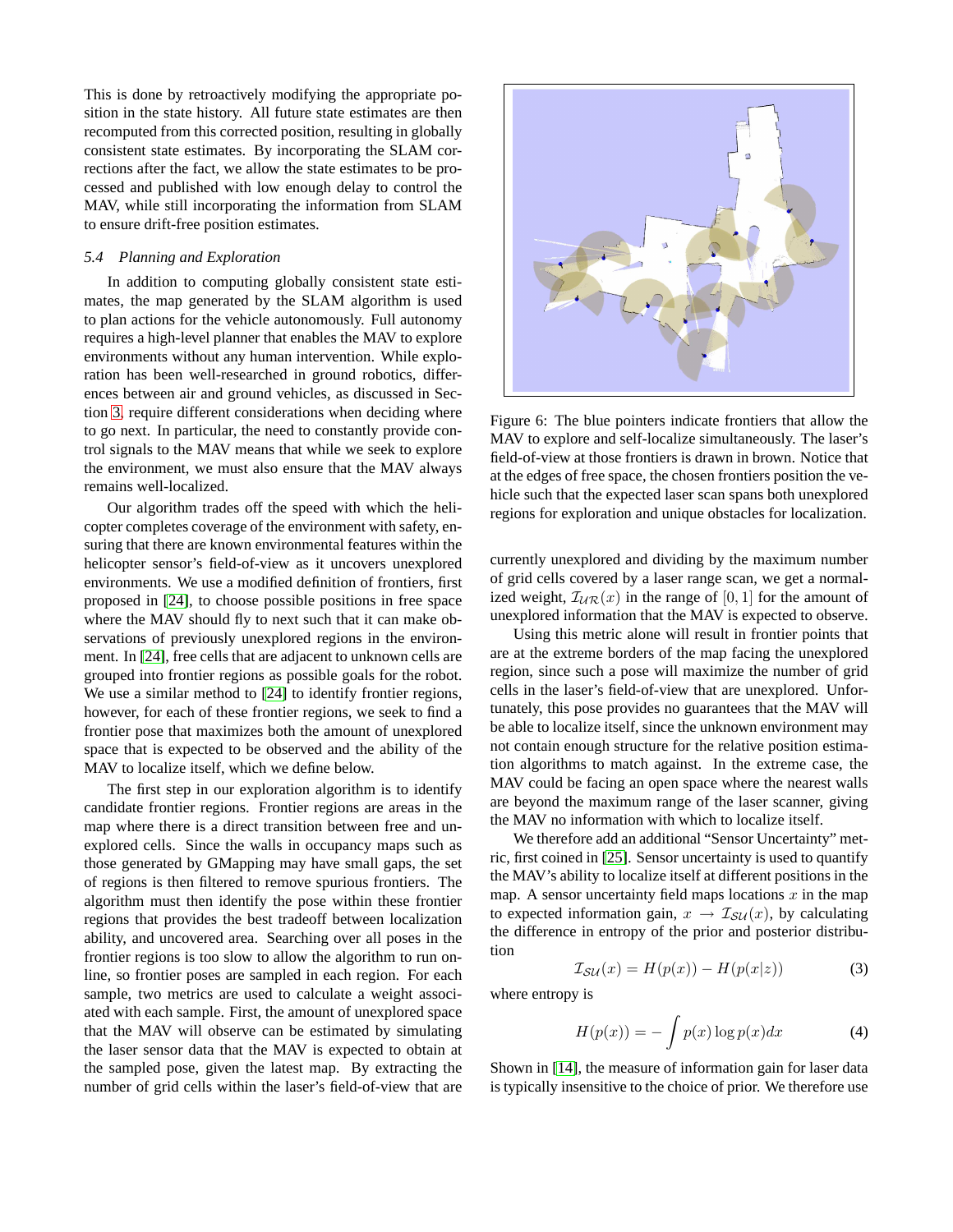This is done by retroactively modifying the appropriate position in the state history. All future state estimates are then recomputed from this corrected position, resulting in globally consistent state estimates. By incorporating the SLAM corrections after the fact, we allow the state estimates to be processed and published with low enough delay to control the MAV, while still incorporating the information from SLAM to ensure drift-free position estimates.

## <span id="page-6-0"></span>*5.4 Planning and Exploration*

In addition to computing globally consistent state estimates, the map generated by the SLAM algorithm is used to plan actions for the vehicle autonomously. Full autonomy requires a high-level planner that enables the MAV to explore environments without any human intervention. While exploration has been well-researched in ground robotics, differences between air and ground vehicles, as discussed in Section [3,](#page-2-1) require different considerations when deciding where to go next. In particular, the need to constantly provide control signals to the MAV means that while we seek to explore the environment, we must also ensure that the MAV always remains well-localized.

Our algorithm trades off the speed with which the helicopter completes coverage of the environment with safety, ensuring that there are known environmental features within the helicopter sensor's field-of-view as it uncovers unexplored environments. We use a modified definition of frontiers, first proposed in [\[24\]](#page-9-23), to choose possible positions in free space where the MAV should fly to next such that it can make observations of previously unexplored regions in the environment. In [\[24\]](#page-9-23), free cells that are adjacent to unknown cells are grouped into frontier regions as possible goals for the robot. We use a similar method to [\[24\]](#page-9-23) to identify frontier regions, however, for each of these frontier regions, we seek to find a frontier pose that maximizes both the amount of unexplored space that is expected to be observed and the ability of the MAV to localize itself, which we define below.

The first step in our exploration algorithm is to identify candidate frontier regions. Frontier regions are areas in the map where there is a direct transition between free and unexplored cells. Since the walls in occupancy maps such as those generated by GMapping may have small gaps, the set of regions is then filtered to remove spurious frontiers. The algorithm must then identify the pose within these frontier regions that provides the best tradeoff between localization ability, and uncovered area. Searching over all poses in the frontier regions is too slow to allow the algorithm to run online, so frontier poses are sampled in each region. For each sample, two metrics are used to calculate a weight associated with each sample. First, the amount of unexplored space that the MAV will observe can be estimated by simulating the laser sensor data that the MAV is expected to obtain at the sampled pose, given the latest map. By extracting the number of grid cells within the laser's field-of-view that are



<span id="page-6-1"></span>Figure 6: The blue pointers indicate frontiers that allow the MAV to explore and self-localize simultaneously. The laser's field-of-view at those frontiers is drawn in brown. Notice that at the edges of free space, the chosen frontiers position the vehicle such that the expected laser scan spans both unexplored regions for exploration and unique obstacles for localization.

currently unexplored and dividing by the maximum number of grid cells covered by a laser range scan, we get a normalized weight,  $\mathcal{I}_{\mathcal{U}\mathcal{R}}(x)$  in the range of  $[0, 1]$  for the amount of unexplored information that the MAV is expected to observe.

Using this metric alone will result in frontier points that are at the extreme borders of the map facing the unexplored region, since such a pose will maximize the number of grid cells in the laser's field-of-view that are unexplored. Unfortunately, this pose provides no guarantees that the MAV will be able to localize itself, since the unknown environment may not contain enough structure for the relative position estimation algorithms to match against. In the extreme case, the MAV could be facing an open space where the nearest walls are beyond the maximum range of the laser scanner, giving the MAV no information with which to localize itself.

We therefore add an additional "Sensor Uncertainty" metric, first coined in [\[25\]](#page-9-24). Sensor uncertainty is used to quantify the MAV's ability to localize itself at different positions in the map. A sensor uncertainty field maps locations  $x$  in the map to expected information gain,  $x \to \mathcal{I}_{\mathcal{S}\mathcal{U}}(x)$ , by calculating the difference in entropy of the prior and posterior distribution

$$
\mathcal{I}_{\mathcal{SU}}(x) = H(p(x)) - H(p(x|z))\tag{3}
$$

where entropy is

$$
H(p(x)) = -\int p(x)\log p(x)dx
$$
 (4)

Shown in [\[14\]](#page-9-13), the measure of information gain for laser data is typically insensitive to the choice of prior. We therefore use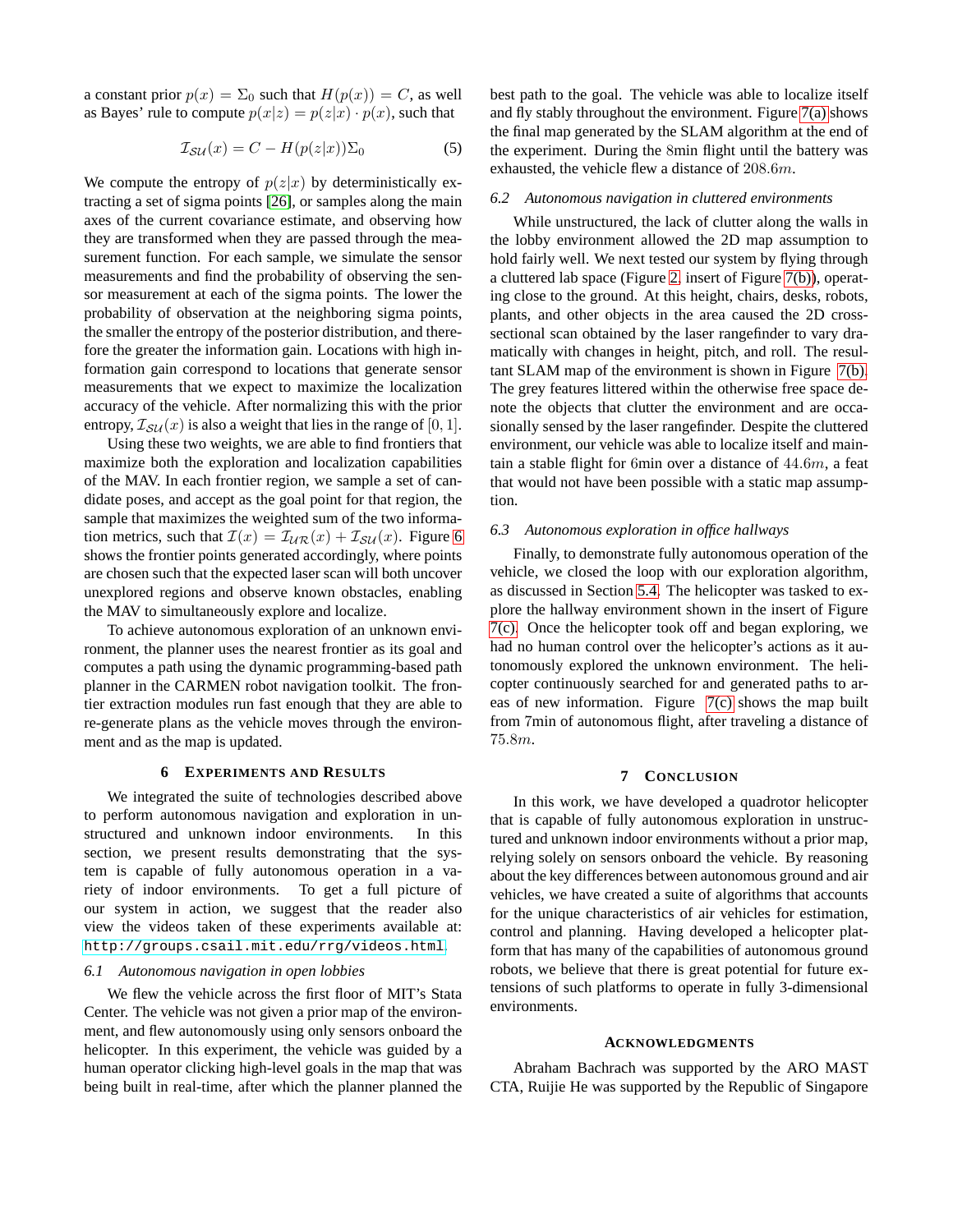a constant prior  $p(x) = \Sigma_0$  such that  $H(p(x)) = C$ , as well as Bayes' rule to compute  $p(x|z) = p(z|x) \cdot p(x)$ , such that

$$
\mathcal{I}_{\mathcal{SU}}(x) = C - H(p(z|x))\Sigma_0 \tag{5}
$$

We compute the entropy of  $p(z|x)$  by deterministically extracting a set of sigma points [\[26\]](#page-9-25), or samples along the main axes of the current covariance estimate, and observing how they are transformed when they are passed through the measurement function. For each sample, we simulate the sensor measurements and find the probability of observing the sensor measurement at each of the sigma points. The lower the probability of observation at the neighboring sigma points, the smaller the entropy of the posterior distribution, and therefore the greater the information gain. Locations with high information gain correspond to locations that generate sensor measurements that we expect to maximize the localization accuracy of the vehicle. After normalizing this with the prior entropy,  $\mathcal{I}_{\mathcal{S}\mathcal{U}}(x)$  is also a weight that lies in the range of [0, 1].

Using these two weights, we are able to find frontiers that maximize both the exploration and localization capabilities of the MAV. In each frontier region, we sample a set of candidate poses, and accept as the goal point for that region, the sample that maximizes the weighted sum of the two information metrics, such that  $\mathcal{I}(x) = \mathcal{I}_{UR}(x) + \mathcal{I}_{SU}(x)$ . Figure [6](#page-6-1) shows the frontier points generated accordingly, where points are chosen such that the expected laser scan will both uncover unexplored regions and observe known obstacles, enabling the MAV to simultaneously explore and localize.

To achieve autonomous exploration of an unknown environment, the planner uses the nearest frontier as its goal and computes a path using the dynamic programming-based path planner in the CARMEN robot navigation toolkit. The frontier extraction modules run fast enough that they are able to re-generate plans as the vehicle moves through the environment and as the map is updated.

## **6 EXPERIMENTS AND RESULTS**

<span id="page-7-0"></span>We integrated the suite of technologies described above to perform autonomous navigation and exploration in unstructured and unknown indoor environments. In this section, we present results demonstrating that the system is capable of fully autonomous operation in a variety of indoor environments. To get a full picture of our system in action, we suggest that the reader also view the videos taken of these experiments available at: <http://groups.csail.mit.edu/rrg/videos.html>.

#### *6.1 Autonomous navigation in open lobbies*

We flew the vehicle across the first floor of MIT's Stata Center. The vehicle was not given a prior map of the environment, and flew autonomously using only sensors onboard the helicopter. In this experiment, the vehicle was guided by a human operator clicking high-level goals in the map that was being built in real-time, after which the planner planned the best path to the goal. The vehicle was able to localize itself and fly stably throughout the environment. Figure [7\(a\)](#page-8-0) shows the final map generated by the SLAM algorithm at the end of the experiment. During the 8min flight until the battery was exhausted, the vehicle flew a distance of 208.6m.

#### *6.2 Autonomous navigation in cluttered environments*

While unstructured, the lack of clutter along the walls in the lobby environment allowed the 2D map assumption to hold fairly well. We next tested our system by flying through a cluttered lab space (Figure [2,](#page-2-0) insert of Figure [7\(b\)\)](#page-8-1), operating close to the ground. At this height, chairs, desks, robots, plants, and other objects in the area caused the 2D crosssectional scan obtained by the laser rangefinder to vary dramatically with changes in height, pitch, and roll. The resultant SLAM map of the environment is shown in Figure [7\(b\).](#page-8-1) The grey features littered within the otherwise free space denote the objects that clutter the environment and are occasionally sensed by the laser rangefinder. Despite the cluttered environment, our vehicle was able to localize itself and maintain a stable flight for 6min over a distance of 44.6m, a feat that would not have been possible with a static map assumption.

## *6.3 Autonomous exploration in office hallways*

Finally, to demonstrate fully autonomous operation of the vehicle, we closed the loop with our exploration algorithm, as discussed in Section [5.4.](#page-6-0) The helicopter was tasked to explore the hallway environment shown in the insert of Figure [7\(c\).](#page-8-2) Once the helicopter took off and began exploring, we had no human control over the helicopter's actions as it autonomously explored the unknown environment. The helicopter continuously searched for and generated paths to areas of new information. Figure [7\(c\)](#page-8-2) shows the map built from 7min of autonomous flight, after traveling a distance of 75.8m.

## **7 CONCLUSION**

In this work, we have developed a quadrotor helicopter that is capable of fully autonomous exploration in unstructured and unknown indoor environments without a prior map, relying solely on sensors onboard the vehicle. By reasoning about the key differences between autonomous ground and air vehicles, we have created a suite of algorithms that accounts for the unique characteristics of air vehicles for estimation, control and planning. Having developed a helicopter platform that has many of the capabilities of autonomous ground robots, we believe that there is great potential for future extensions of such platforms to operate in fully 3-dimensional environments.

#### **ACKNOWLEDGMENTS**

Abraham Bachrach was supported by the ARO MAST CTA, Ruijie He was supported by the Republic of Singapore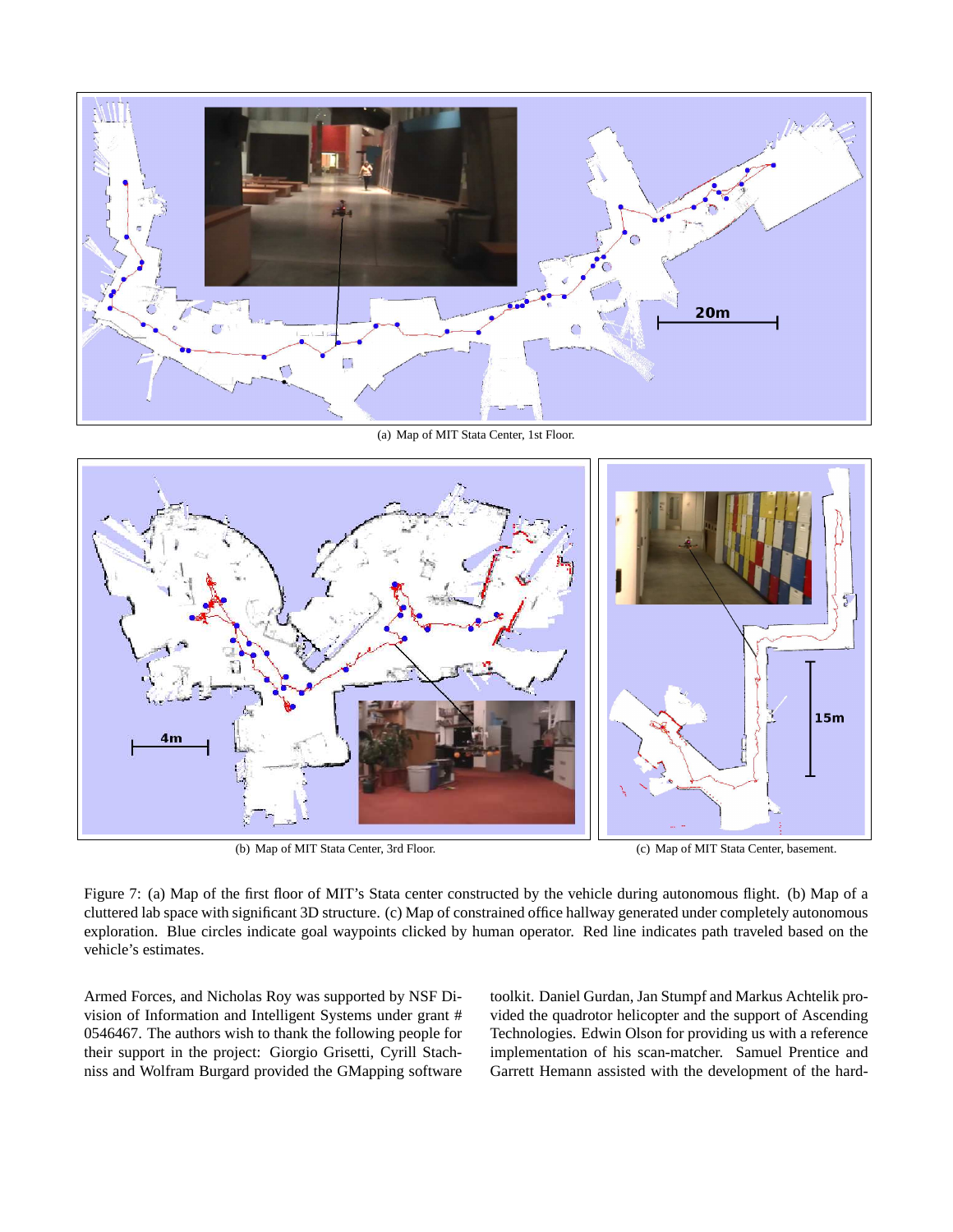

(a) Map of MIT Stata Center, 1st Floor.

<span id="page-8-0"></span>

(b) Map of MIT Stata Center, 3rd Floor. (c) Map of MIT Stata Center, basement.

<span id="page-8-1"></span>Figure 7: (a) Map of the first floor of MIT's Stata center constructed by the vehicle during autonomous flight. (b) Map of a cluttered lab space with significant 3D structure. (c) Map of constrained office hallway generated under completely autonomous exploration. Blue circles indicate goal waypoints clicked by human operator. Red line indicates path traveled based on the vehicle's estimates.

Armed Forces, and Nicholas Roy was supported by NSF Division of Information and Intelligent Systems under grant # 0546467. The authors wish to thank the following people for their support in the project: Giorgio Grisetti, Cyrill Stachniss and Wolfram Burgard provided the GMapping software

<span id="page-8-2"></span>toolkit. Daniel Gurdan, Jan Stumpf and Markus Achtelik provided the quadrotor helicopter and the support of Ascending Technologies. Edwin Olson for providing us with a reference implementation of his scan-matcher. Samuel Prentice and Garrett Hemann assisted with the development of the hard